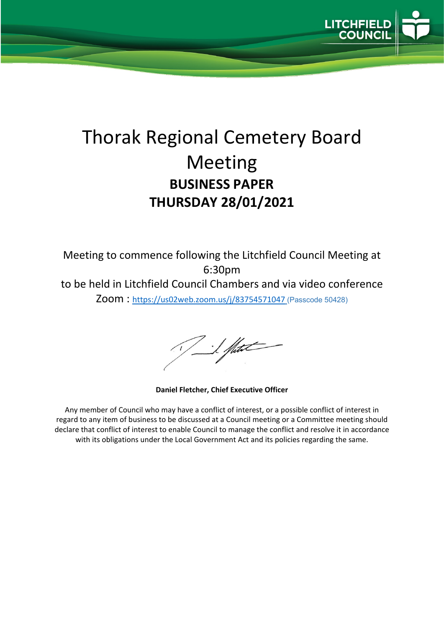

# Thorak Regional Cemetery Board Meeting **BUSINESS PAPER THURSDAY 28/01/2021**

Meeting to commence following the Litchfield Council Meeting at 6:30pm to be held in Litchfield Council Chambers and via video conference Zoom :<https://us02web.zoom.us/j/83754571047> (Passcode 50428)

I flut

**Daniel Fletcher, Chief Executive Officer**

Any member of Council who may have a conflict of interest, or a possible conflict of interest in regard to any item of business to be discussed at a Council meeting or a Committee meeting should declare that conflict of interest to enable Council to manage the conflict and resolve it in accordance with its obligations under the Local Government Act and its policies regarding the same.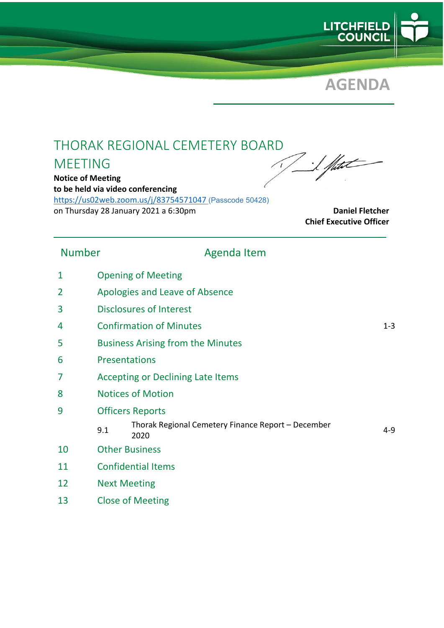



### THORAK REGIONAL CEMETERY BOARD

### MEETING

**Notice of Meeting to be held via video conferencing** <https://us02web.zoom.us/j/83754571047> (Passcode 50428) on Thursday 28 January 2021 a 6:30pm **Daniel Fletcher Daniel Fletcher** 

I Shete

**Chief Executive Officer**

### Number Agenda Item

- 1 Opening of Meeting
- 2 Apologies and Leave of Absence
- 3 Disclosures of Interest
- 4 Confirmation of Minutes 1-3
- 5 Business Arising from the Minutes
- 6 Presentations
- 7 Accepting or Declining Late Items
- 8 Notices of Motion
- 9 Officers Reports
	- 9.1 Thorak Regional Cemetery Finance Report December <sup>2020</sup> 4-9
- 10 Other Business
- 11 Confidential Items
- 12 Next Meeting
- 13 Close of Meeting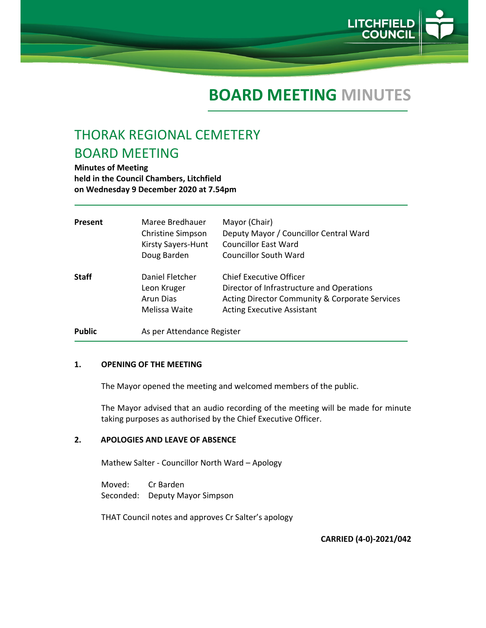

## **BOARD MEETING MINUTES**

### THORAK REGIONAL CEMETERY BOARD MEETING

**Minutes of Meeting held in the Council Chambers, Litchfield on Wednesday 9 December 2020 at 7.54pm** 

| Present       | Maree Bredhauer<br>Christine Simpson<br>Kirsty Sayers-Hunt<br>Doug Barden | Mayor (Chair)<br>Deputy Mayor / Councillor Central Ward<br><b>Councillor East Ward</b><br><b>Councillor South Ward</b>                                                        |
|---------------|---------------------------------------------------------------------------|-------------------------------------------------------------------------------------------------------------------------------------------------------------------------------|
| <b>Staff</b>  | Daniel Fletcher<br>Leon Kruger<br>Arun Dias<br>Melissa Waite              | <b>Chief Executive Officer</b><br>Director of Infrastructure and Operations<br><b>Acting Director Community &amp; Corporate Services</b><br><b>Acting Executive Assistant</b> |
| <b>Public</b> | As per Attendance Register                                                |                                                                                                                                                                               |

#### **1. OPENING OF THE MEETING**

The Mayor opened the meeting and welcomed members of the public.

The Mayor advised that an audio recording of the meeting will be made for minute taking purposes as authorised by the Chief Executive Officer.

#### **2. APOLOGIES AND LEAVE OF ABSENCE**

Mathew Salter ‐ Councillor North Ward – Apology

Moved: Cr Barden Seconded: Deputy Mayor Simpson

THAT Council notes and approves Cr Salter's apology

**CARRIED (4‐0)‐2021/042**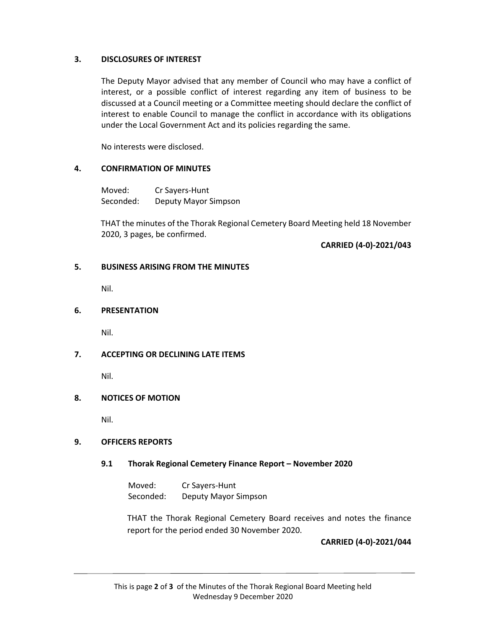#### **3. DISCLOSURES OF INTEREST**

The Deputy Mayor advised that any member of Council who may have a conflict of interest, or a possible conflict of interest regarding any item of business to be discussed at a Council meeting or a Committee meeting should declare the conflict of interest to enable Council to manage the conflict in accordance with its obligations under the Local Government Act and its policies regarding the same.

No interests were disclosed.

#### **4. CONFIRMATION OF MINUTES**

Moved: Cr Sayers‐Hunt Seconded: Deputy Mayor Simpson

THAT the minutes of the Thorak Regional Cemetery Board Meeting held 18 November 2020, 3 pages, be confirmed.

**CARRIED (4‐0)‐2021/043**

#### **5. BUSINESS ARISING FROM THE MINUTES**

Nil.

#### **6. PRESENTATION**

Nil.

#### **7. ACCEPTING OR DECLINING LATE ITEMS**

Nil.

#### **8. NOTICES OF MOTION**

Nil.

#### **9. OFFICERS REPORTS**

#### **9.1 Thorak Regional Cemetery Finance Report – November 2020**

Moved: Cr Sayers‐Hunt Seconded: Deputy Mayor Simpson

THAT the Thorak Regional Cemetery Board receives and notes the finance report for the period ended 30 November 2020.

#### **CARRIED (4‐0)‐2021/044**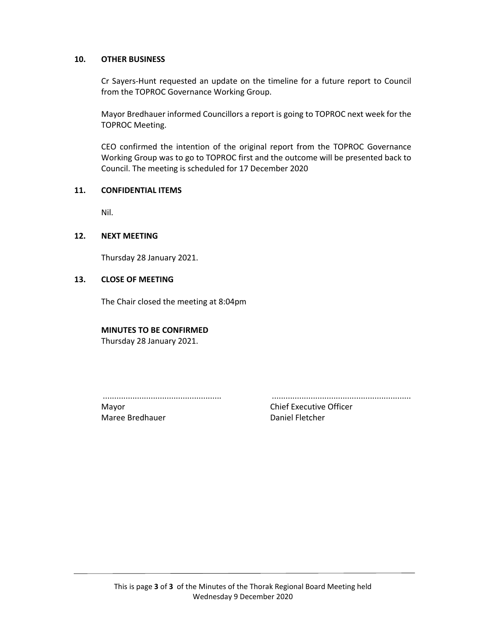#### **10. OTHER BUSINESS**

Cr Sayers‐Hunt requested an update on the timeline for a future report to Council from the TOPROC Governance Working Group.

Mayor Bredhauer informed Councillors a report is going to TOPROC next week for the TOPROC Meeting.

CEO confirmed the intention of the original report from the TOPROC Governance Working Group was to go to TOPROC first and the outcome will be presented back to Council. The meeting is scheduled for 17 December 2020

#### **11. CONFIDENTIAL ITEMS**

Nil.

#### **12. NEXT MEETING**

Thursday 28 January 2021.

#### **13. CLOSE OF MEETING**

The Chair closed the meeting at 8:04pm

#### **MINUTES TO BE CONFIRMED**

Thursday 28 January 2021.

.................................................... .............................................................

Maree Bredhauer **Daniel Fletcher** 

Mayor **Mayor Chief Executive Officer**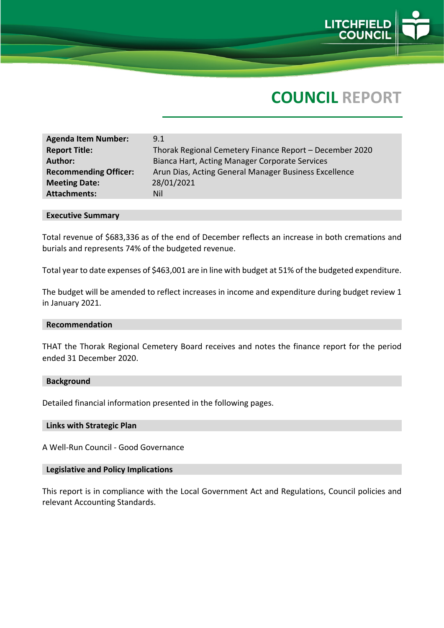

# **COUNCIL REPORT**

| <b>Agenda Item Number:</b>   | 9.1                                                     |
|------------------------------|---------------------------------------------------------|
| <b>Report Title:</b>         | Thorak Regional Cemetery Finance Report - December 2020 |
| <b>Author:</b>               | Bianca Hart, Acting Manager Corporate Services          |
| <b>Recommending Officer:</b> | Arun Dias, Acting General Manager Business Excellence   |
| <b>Meeting Date:</b>         | 28/01/2021                                              |
| <b>Attachments:</b>          | Nil                                                     |

#### **Executive Summary**

Total revenue of \$683,336 as of the end of December reflects an increase in both cremations and burials and represents 74% of the budgeted revenue.

Total year to date expenses of \$463,001 are in line with budget at 51% of the budgeted expenditure.

The budget will be amended to reflect increases in income and expenditure during budget review 1 in January 2021.

#### **Recommendation**

THAT the Thorak Regional Cemetery Board receives and notes the finance report for the period ended 31 December 2020.

#### **Background**

Detailed financial information presented in the following pages.

#### **Links with Strategic Plan**

A Well-Run Council - Good Governance

#### **Legislative and Policy Implications**

This report is in compliance with the Local Government Act and Regulations, Council policies and relevant Accounting Standards.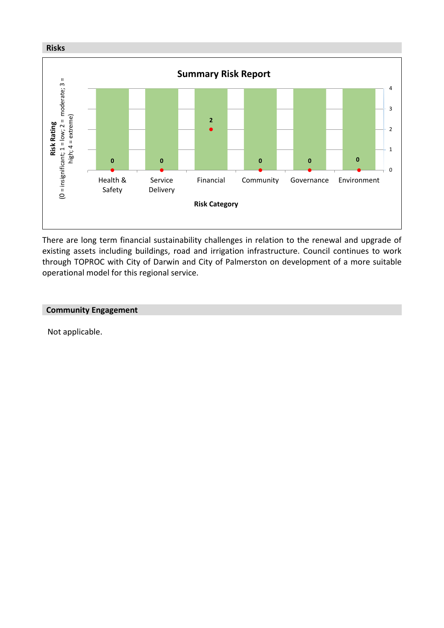

There are long term financial sustainability challenges in relation to the renewal and upgrade of existing assets including buildings, road and irrigation infrastructure. Council continues to work through TOPROC with City of Darwin and City of Palmerston on development of a more suitable operational model for this regional service.

#### **Community Engagement**

Not applicable.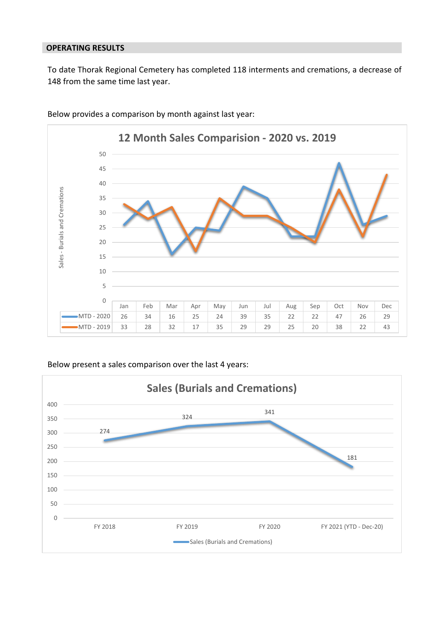#### **OPERATING RESULTS**

To date Thorak Regional Cemetery has completed 118 interments and cremations, a decrease of from the same time last year.



Below provides a comparison by month against last year:

#### Below present a sales comparison over the last 4 years:

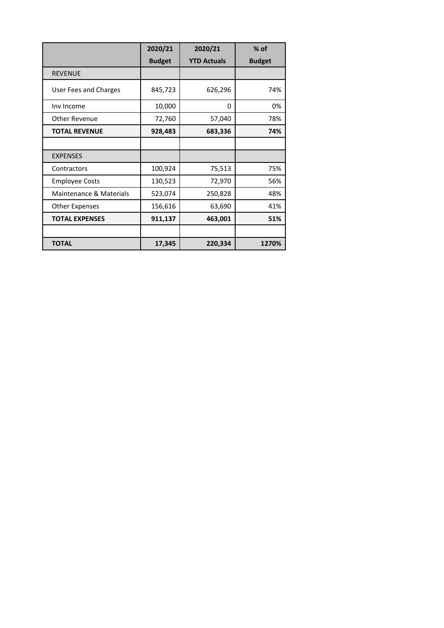|                         | 2020/21       | 2020/21            | $%$ of        |
|-------------------------|---------------|--------------------|---------------|
|                         | <b>Budget</b> | <b>YTD Actuals</b> | <b>Budget</b> |
| <b>REVENUE</b>          |               |                    |               |
| User Fees and Charges   | 845,723       | 626,296            | 74%           |
| Inv Income              | 10,000        | 0                  | 0%            |
| Other Revenue           | 72,760        | 57,040             | 78%           |
| <b>TOTAL REVENUE</b>    | 928,483       | 683,336            | 74%           |
|                         |               |                    |               |
| <b>EXPENSES</b>         |               |                    |               |
| Contractors             | 100,924       | 75,513             | 75%           |
| <b>Employee Costs</b>   | 130,523       | 72,970             | 56%           |
| Maintenance & Materials | 523,074       | 250,828            | 48%           |
| Other Expenses          | 156,616       | 63,690             | 41%           |
| <b>TOTAL EXPENSES</b>   | 911,137       | 463,001            | 51%           |
|                         |               |                    |               |
| <b>TOTAL</b>            | 17,345        | 220,334            | 1270%         |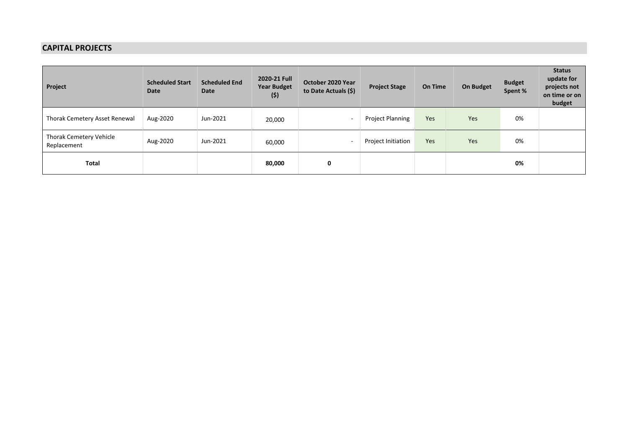#### **CAPITAL PROJECTS**

| Project                                | <b>Scheduled Start</b><br>Date | <b>Scheduled End</b><br>Date | 2020-21 Full<br><b>Year Budget</b><br>(5) | October 2020 Year<br>to Date Actuals (\$) | <b>Project Stage</b>    | On Time | On Budget | <b>Budget</b><br>Spent % | <b>Status</b><br>update for<br>projects not<br>on time or on<br>budget |
|----------------------------------------|--------------------------------|------------------------------|-------------------------------------------|-------------------------------------------|-------------------------|---------|-----------|--------------------------|------------------------------------------------------------------------|
| Thorak Cemetery Asset Renewal          | Aug-2020                       | Jun-2021                     | 20,000                                    | <b>.</b>                                  | <b>Project Planning</b> | Yes     | Yes       | 0%                       |                                                                        |
| Thorak Cemetery Vehicle<br>Replacement | Aug-2020                       | Jun-2021                     | 60,000                                    |                                           | Project Initiation      | Yes     | Yes       | 0%                       |                                                                        |
| <b>Total</b>                           |                                |                              | 80,000                                    | 0                                         |                         |         |           | 0%                       |                                                                        |